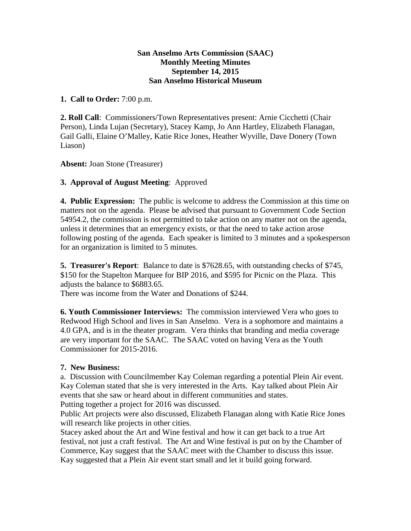## **San Anselmo Arts Commission (SAAC) Monthly Meeting Minutes September 14, 2015 San Anselmo Historical Museum**

## **1. Call to Order:** 7:00 p.m.

**2. Roll Call**: Commissioners/Town Representatives present: Arnie Cicchetti (Chair Person), Linda Lujan (Secretary), Stacey Kamp, Jo Ann Hartley, Elizabeth Flanagan, Gail Galli, Elaine O'Malley, Katie Rice Jones, Heather Wyville, Dave Donery (Town Liason)

**Absent:** Joan Stone (Treasurer)

# **3. Approval of August Meeting**: Approved

**4. Public Expression:** The public is welcome to address the Commission at this time on matters not on the agenda. Please be advised that pursuant to Government Code Section 54954.2, the commission is not permitted to take action on any matter not on the agenda, unless it determines that an emergency exists, or that the need to take action arose following posting of the agenda. Each speaker is limited to 3 minutes and a spokesperson for an organization is limited to 5 minutes.

**5. Treasurer's Report**: Balance to date is \$7628.65, with outstanding checks of \$745, \$150 for the Stapelton Marquee for BIP 2016, and \$595 for Picnic on the Plaza. This adjusts the balance to \$6883.65.

There was income from the Water and Donations of \$244.

**6. Youth Commissioner Interviews:** The commission interviewed Vera who goes to Redwood High School and lives in San Anselmo. Vera is a sophomore and maintains a 4.0 GPA, and is in the theater program. Vera thinks that branding and media coverage are very important for the SAAC. The SAAC voted on having Vera as the Youth Commissioner for 2015-2016.

# **7. New Business:**

a. Discussion with Councilmember Kay Coleman regarding a potential Plein Air event. Kay Coleman stated that she is very interested in the Arts. Kay talked about Plein Air events that she saw or heard about in different communities and states. Putting together a project for 2016 was discussed.

Public Art projects were also discussed, Elizabeth Flanagan along with Katie Rice Jones will research like projects in other cities.

Stacey asked about the Art and Wine festival and how it can get back to a true Art festival, not just a craft festival. The Art and Wine festival is put on by the Chamber of Commerce, Kay suggest that the SAAC meet with the Chamber to discuss this issue. Kay suggested that a Plein Air event start small and let it build going forward.